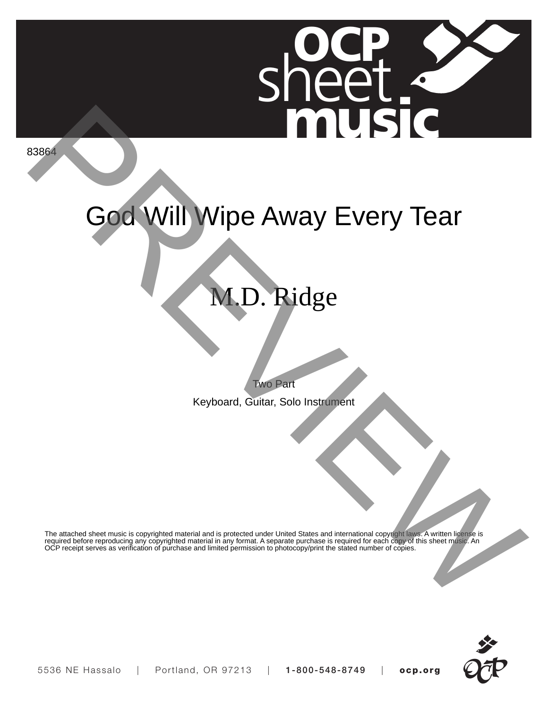

83864

## God Will Wipe Away Every Tear

## M.D. Ridge

Two Part

Keyboard, Guitar, Solo Instrument

The attached sheet music is copyrighted material and is protected under United States and international copyright laws. A written license is required before reproducing any copyrighted material in any format. A separate purchase is required for each copy of this sheet music. An OCP receipt serves as verification of purchase and limited permission to photocopy/print the stated number of copies.

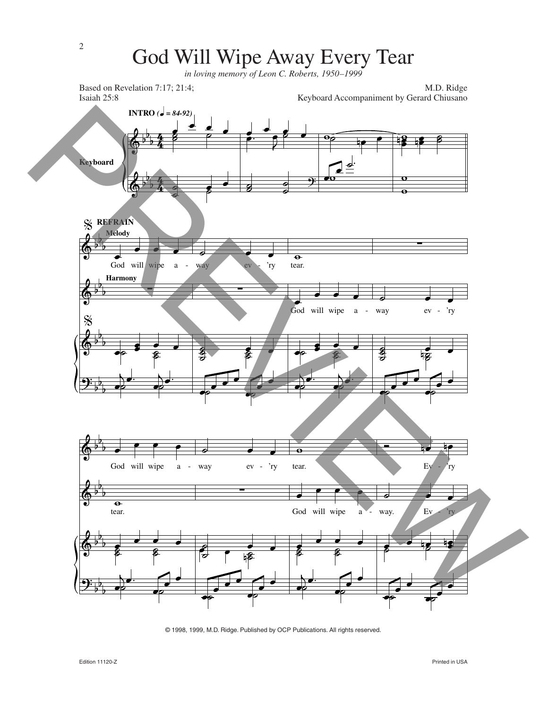## God Will Wipe Away Every Tear

*in loving memory of Leon C. Roberts, 1950–1999*



<sup>© 1998, 1999,</sup> M.D. Ridge. Published by OCP Publications. All rights reserved.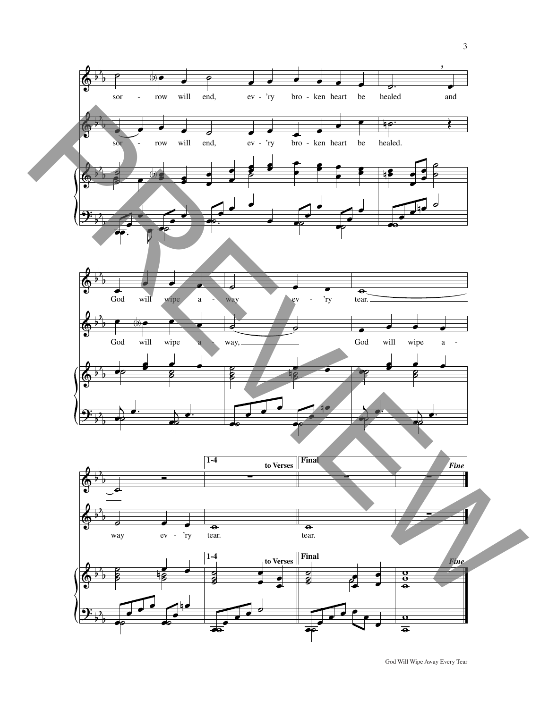

God Will Wipe Away Every Tear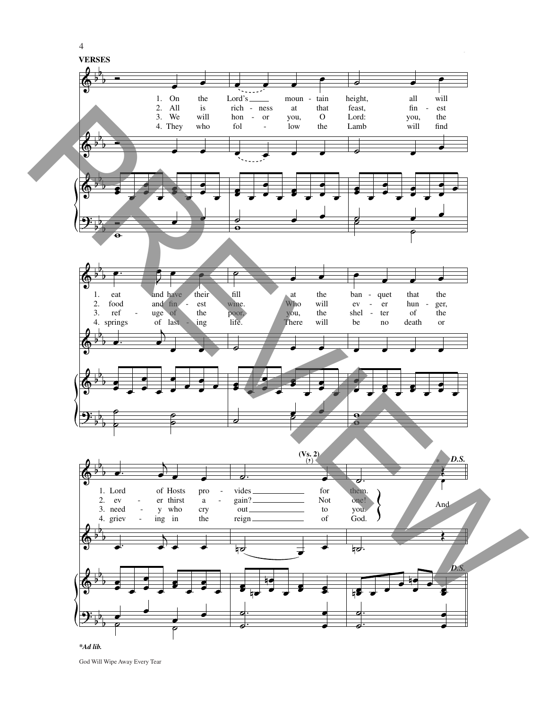

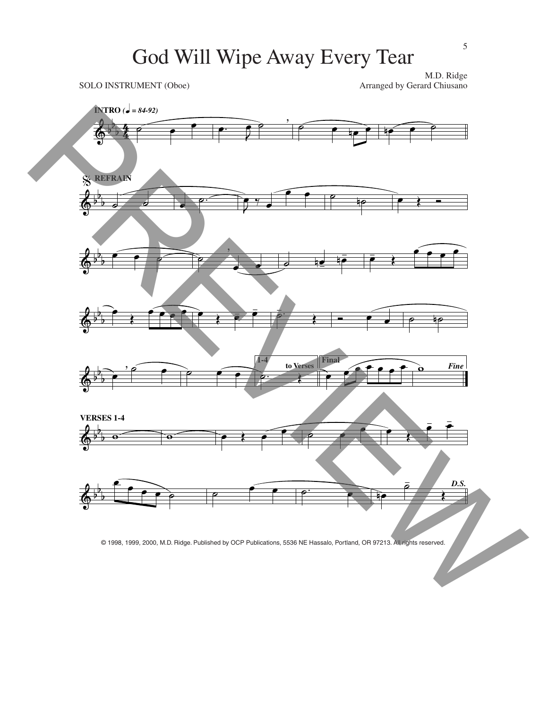## God Will Wipe Away Every Tear

SOLO INSTRUMENT (Oboe)

M.D. Ridge<br>Arranged by Gerard Chiusano



© 1998, 1999, 2000, M.D. Ridge. Published by OCP Publications, 5536 NE Hassalo, Portland, OR 97213. All rights reserved.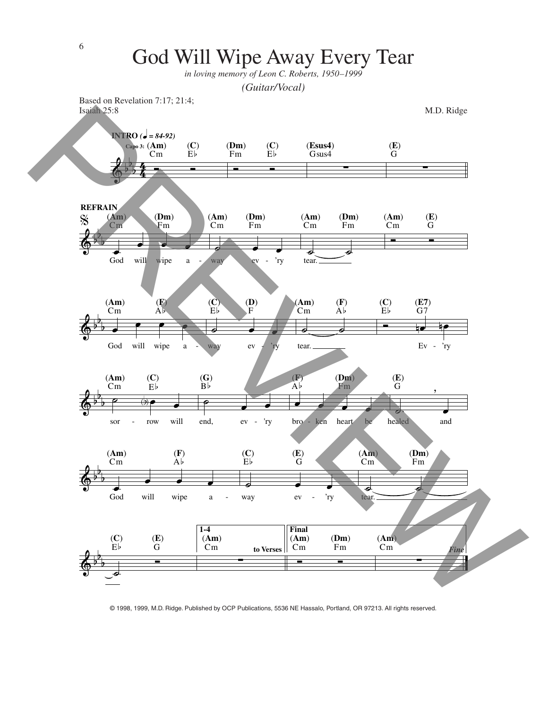

© 1998, 1999, M.D. Ridge. Published by OCP Publications, 5536 NE Hassalo, Portland, OR 97213. All rights reserved.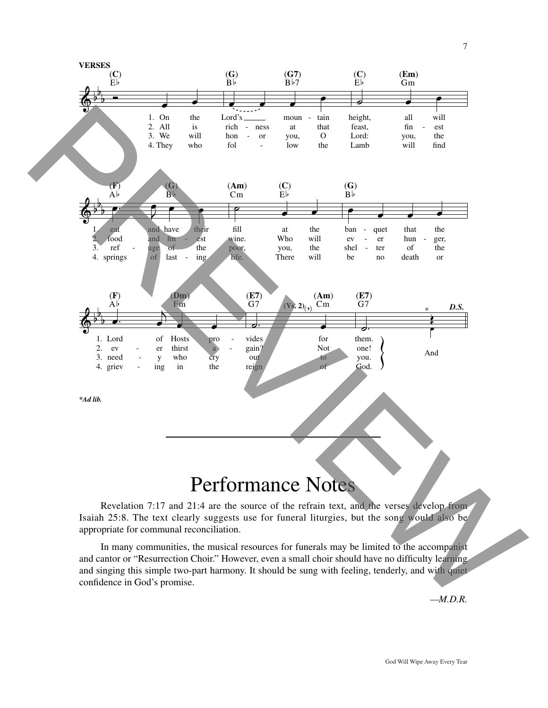

Revelation 7:17 and 21:4 are the source of the refrain text, and the verses develop from Isaiah 25:8. The text clearly suggests use for funeral liturgies, but the song would also be appropriate for communal reconciliation.

In many communities, the musical resources for funerals may be limited to the accompanist and cantor or "Resurrection Choir." However, even a small choir should have no difficulty learning and singing this simple two-part harmony. It should be sung with feeling, tenderly, and with quiet confidence in God's promise.

*—M.D.R.*